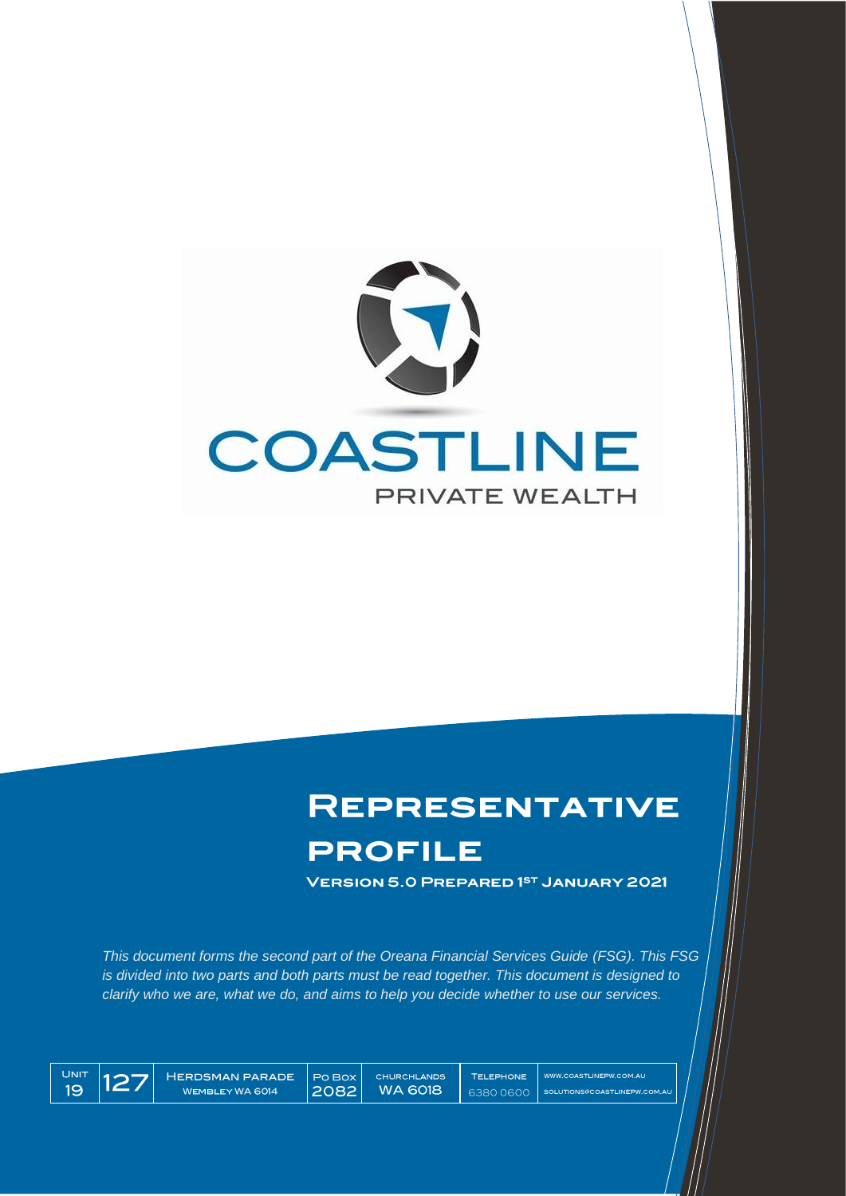

# **REPRESENTATIVE**

# **PROFILE**

**VERSION 5.0 PREPARED 1ST JANUARY 2021** 

This document forms the second part of the Oreana Financial Services Guide (FSG). This FSG is divided into two parts and both parts must be read together. This document is designed to clarify who we are, what we do, and aims to help you decide whether to use our services.



**HERDSMAN PARADE** WEMBLEYWA 6014

Po Box **WA 6018** 2082

WWW.COASTLINEPW.COM.AU SOLUTIONS@COASTLINEPW.COM.AL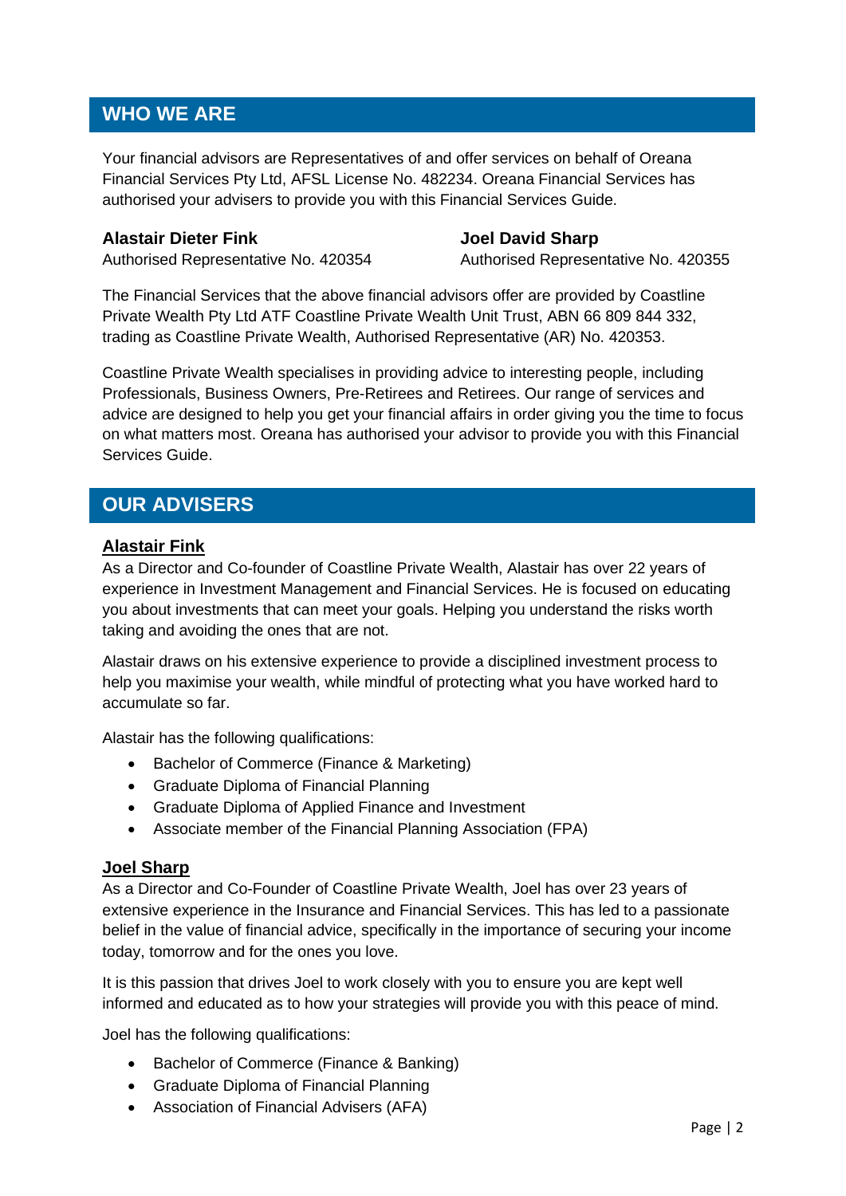## **WHO WE ARE**

Your financial advisors are Representatives of and offer services on behalf of Oreana Financial Services Pty Ltd, AFSL License No. 482234. Oreana Financial Services has authorised your advisers to provide you with this Financial Services Guide.

#### **Alastair Dieter Fink Joel David Sharp**

Authorised Representative No. 420354 Authorised Representative No. 420355

The Financial Services that the above financial advisors offer are provided by Coastline Private Wealth Pty Ltd ATF Coastline Private Wealth Unit Trust, ABN 66 809 844 332, trading as Coastline Private Wealth, Authorised Representative (AR) No. 420353.

Coastline Private Wealth specialises in providing advice to interesting people, including Professionals, Business Owners, Pre-Retirees and Retirees. Our range of services and advice are designed to help you get your financial affairs in order giving you the time to focus on what matters most. Oreana has authorised your advisor to provide you with this Financial Services Guide.

## **OUR ADVISERS**

## **Alastair Fink**

As a Director and Co-founder of Coastline Private Wealth, Alastair has over 22 years of experience in Investment Management and Financial Services. He is focused on educating you about investments that can meet your goals. Helping you understand the risks worth taking and avoiding the ones that are not.

Alastair draws on his extensive experience to provide a disciplined investment process to help you maximise your wealth, while mindful of protecting what you have worked hard to accumulate so far.

Alastair has the following qualifications:

- Bachelor of Commerce (Finance & Marketing)
- Graduate Diploma of Financial Planning
- Graduate Diploma of Applied Finance and Investment
- Associate member of the Financial Planning Association (FPA)

## **Joel Sharp**

As a Director and Co-Founder of Coastline Private Wealth, Joel has over 23 years of extensive experience in the Insurance and Financial Services. This has led to a passionate belief in the value of financial advice, specifically in the importance of securing your income today, tomorrow and for the ones you love.

It is this passion that drives Joel to work closely with you to ensure you are kept well informed and educated as to how your strategies will provide you with this peace of mind.

Joel has the following qualifications:

- Bachelor of Commerce (Finance & Banking)
- Graduate Diploma of Financial Planning
- Association of Financial Advisers (AFA)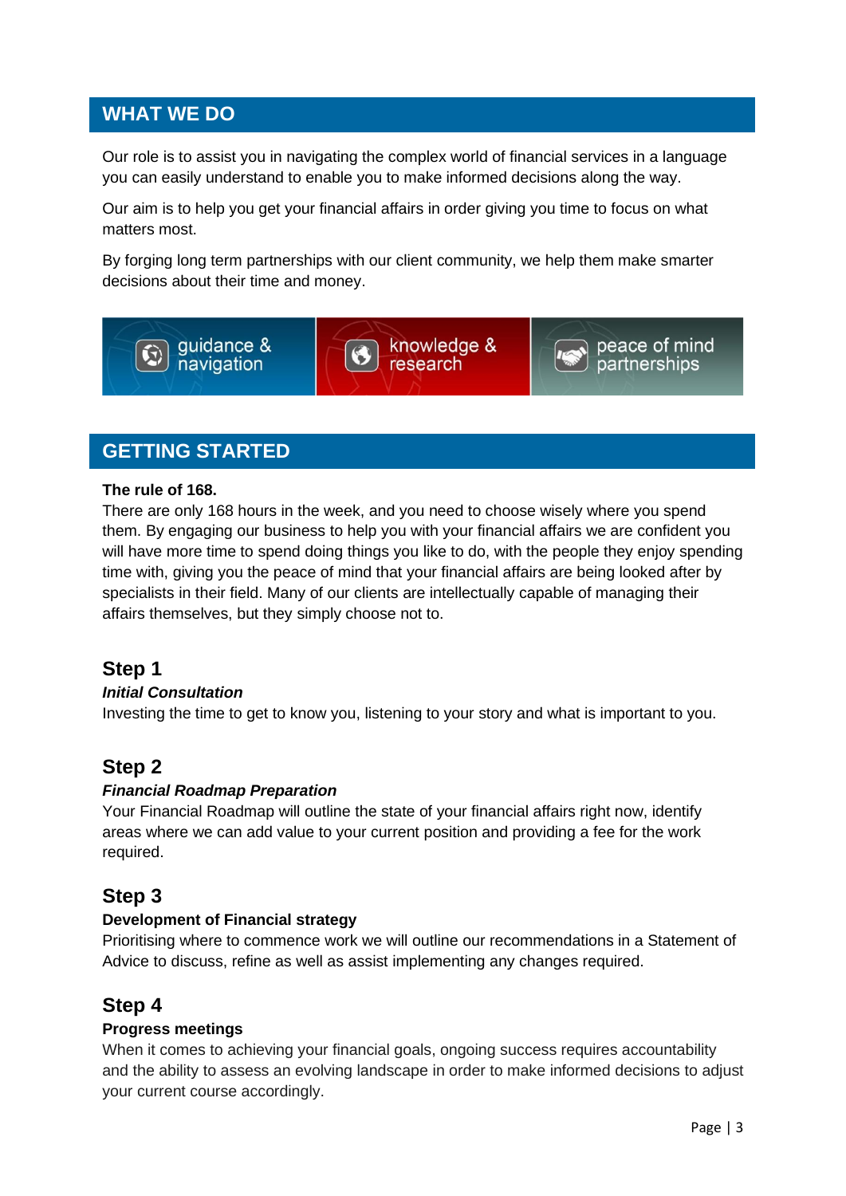## **WHAT WE DO**

Our role is to assist you in navigating the complex world of financial services in a language you can easily understand to enable you to make informed decisions along the way.

Our aim is to help you get your financial affairs in order giving you time to focus on what matters most.

By forging long term partnerships with our client community, we help them make smarter decisions about their time and money.



## **GETTING STARTED**

#### **The rule of 168.**

There are only 168 hours in the week, and you need to choose wisely where you spend them. By engaging our business to help you with your financial affairs we are confident you will have more time to spend doing things you like to do, with the people they enjoy spending time with, giving you the peace of mind that your financial affairs are being looked after by specialists in their field. Many of our clients are intellectually capable of managing their affairs themselves, but they simply choose not to.

## **Step 1**

#### *Initial Consultation*

Investing the time to get to know you, listening to your story and what is important to you.

## **Step 2**

## *Financial Roadmap Preparation*

Your Financial Roadmap will outline the state of your financial affairs right now, identify areas where we can add value to your current position and providing a fee for the work required.

## **Step 3**

#### **Development of Financial strategy**

Prioritising where to commence work we will outline our recommendations in a Statement of Advice to discuss, refine as well as assist implementing any changes required.

## **Step 4**

## **Progress meetings**

When it comes to achieving your financial goals, ongoing success requires accountability and the ability to assess an evolving landscape in order to make informed decisions to adjust your current course accordingly.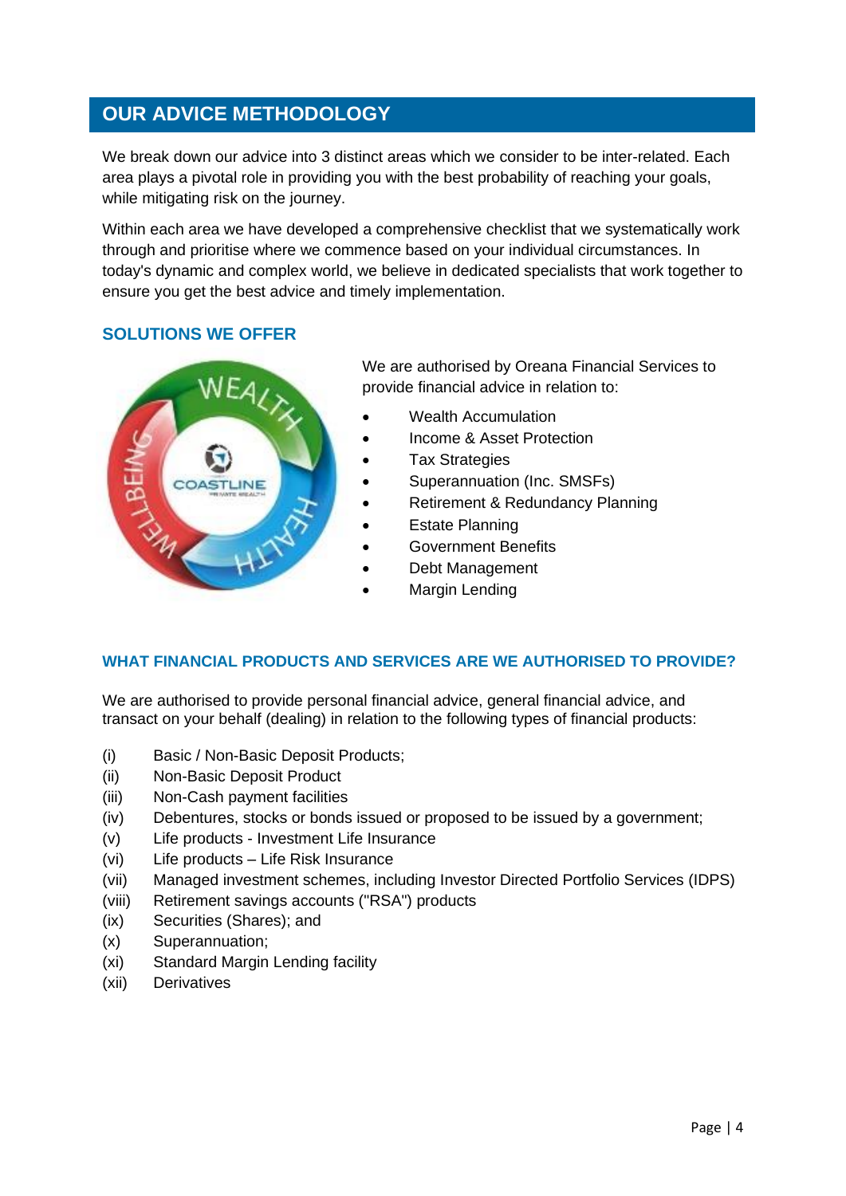## **OUR ADVICE METHODOLOGY**

We break down our advice into 3 distinct areas which we consider to be inter-related. Each area plays a pivotal role in providing you with the best probability of reaching your goals, while mitigating risk on the journey.

Within each area we have developed a comprehensive checklist that we systematically work through and prioritise where we commence based on your individual circumstances. In today's dynamic and complex world, we believe in dedicated specialists that work together to ensure you get the best advice and timely implementation.

## **SOLUTIONS WE OFFER**



We are authorised by Oreana Financial Services to provide financial advice in relation to:

- Wealth Accumulation
- Income & Asset Protection
- **Tax Strategies**
- Superannuation (Inc. SMSFs)
- Retirement & Redundancy Planning
- **Estate Planning**
- Government Benefits
- Debt Management
- Margin Lending

## **WHAT FINANCIAL PRODUCTS AND SERVICES ARE WE AUTHORISED TO PROVIDE?**

We are authorised to provide personal financial advice, general financial advice, and transact on your behalf (dealing) in relation to the following types of financial products:

- (i) Basic / Non-Basic Deposit Products;
- (ii) Non-Basic Deposit Product
- (iii) Non-Cash payment facilities
- (iv) Debentures, stocks or bonds issued or proposed to be issued by a government;
- (v) Life products Investment Life Insurance
- (vi) Life products Life Risk Insurance
- (vii) Managed investment schemes, including Investor Directed Portfolio Services (IDPS)
- (viii) Retirement savings accounts ("RSA") products
- (ix) Securities (Shares); and
- (x) Superannuation;
- (xi) Standard Margin Lending facility
- (xii) Derivatives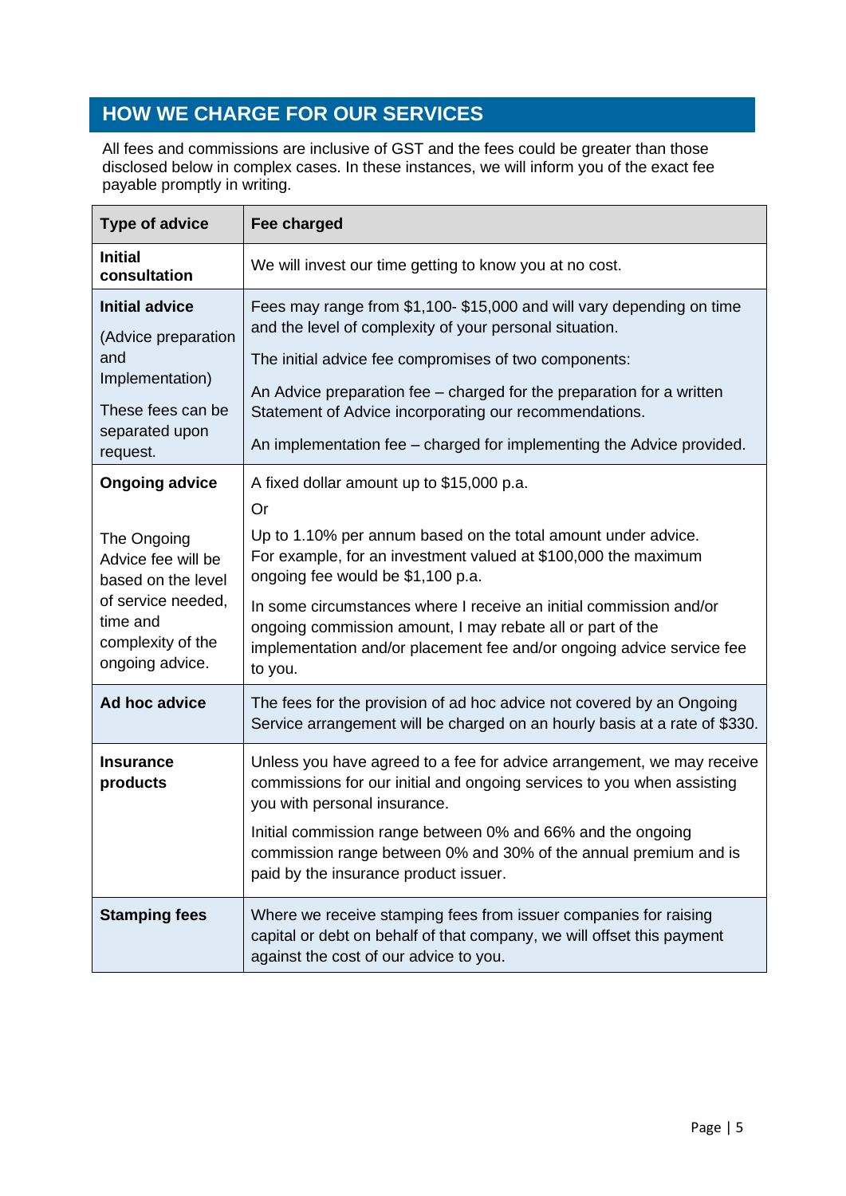## **HOW WE CHARGE FOR OUR SERVICES**

All fees and commissions are inclusive of GST and the fees could be greater than those disclosed below in complex cases. In these instances, we will inform you of the exact fee payable promptly in writing.

| <b>Type of advice</b>                                                                                                                                      | Fee charged                                                                                                                                                                                                                                                                                                                                                                                                                          |
|------------------------------------------------------------------------------------------------------------------------------------------------------------|--------------------------------------------------------------------------------------------------------------------------------------------------------------------------------------------------------------------------------------------------------------------------------------------------------------------------------------------------------------------------------------------------------------------------------------|
| <b>Initial</b><br>consultation                                                                                                                             | We will invest our time getting to know you at no cost.                                                                                                                                                                                                                                                                                                                                                                              |
| <b>Initial advice</b><br>(Advice preparation<br>and<br>Implementation)<br>These fees can be<br>separated upon<br>request.                                  | Fees may range from \$1,100- \$15,000 and will vary depending on time<br>and the level of complexity of your personal situation.<br>The initial advice fee compromises of two components:<br>An Advice preparation fee - charged for the preparation for a written<br>Statement of Advice incorporating our recommendations.<br>An implementation fee - charged for implementing the Advice provided.                                |
| <b>Ongoing advice</b><br>The Ongoing<br>Advice fee will be<br>based on the level<br>of service needed,<br>time and<br>complexity of the<br>ongoing advice. | A fixed dollar amount up to \$15,000 p.a.<br>Or<br>Up to 1.10% per annum based on the total amount under advice.<br>For example, for an investment valued at \$100,000 the maximum<br>ongoing fee would be \$1,100 p.a.<br>In some circumstances where I receive an initial commission and/or<br>ongoing commission amount, I may rebate all or part of the<br>implementation and/or placement fee and/or ongoing advice service fee |
| Ad hoc advice                                                                                                                                              | to you.<br>The fees for the provision of ad hoc advice not covered by an Ongoing<br>Service arrangement will be charged on an hourly basis at a rate of \$330.                                                                                                                                                                                                                                                                       |
| <b>Insurance</b><br>products                                                                                                                               | Unless you have agreed to a fee for advice arrangement, we may receive<br>commissions for our initial and ongoing services to you when assisting<br>you with personal insurance.<br>Initial commission range between 0% and 66% and the ongoing<br>commission range between 0% and 30% of the annual premium and is<br>paid by the insurance product issuer.                                                                         |
| <b>Stamping fees</b>                                                                                                                                       | Where we receive stamping fees from issuer companies for raising<br>capital or debt on behalf of that company, we will offset this payment<br>against the cost of our advice to you.                                                                                                                                                                                                                                                 |